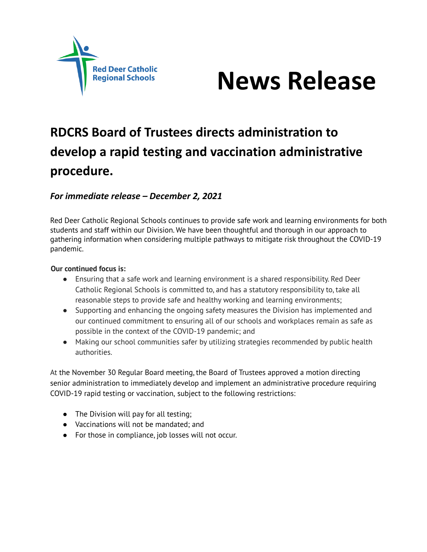



# **RDCRS Board of Trustees directs administration to develop a rapid testing and vaccination administrative procedure.**

### *For immediate release – December 2, 2021*

Red Deer Catholic Regional Schools continues to provide safe work and learning environments for both students and staff within our Division. We have been thoughtful and thorough in our approach to gathering information when considering multiple pathways to mitigate risk throughout the COVID-19 pandemic.

#### **Our continued focus is:**

- Ensuring that a safe work and learning environment is a shared responsibility. Red Deer Catholic Regional Schools is committed to, and has a statutory responsibility to, take all reasonable steps to provide safe and healthy working and learning environments;
- Supporting and enhancing the ongoing safety measures the Division has implemented and our continued commitment to ensuring all of our schools and workplaces remain as safe as possible in the context of the COVID-19 pandemic; and
- Making our school communities safer by utilizing strategies recommended by public health authorities.

At the November 30 Regular Board meeting, the Board of Trustees approved a motion directing senior administration to immediately develop and implement an administrative procedure requiring COVID-19 rapid testing or vaccination, subject to the following restrictions:

- The Division will pay for all testing;
- Vaccinations will not be mandated; and
- For those in compliance, job losses will not occur.